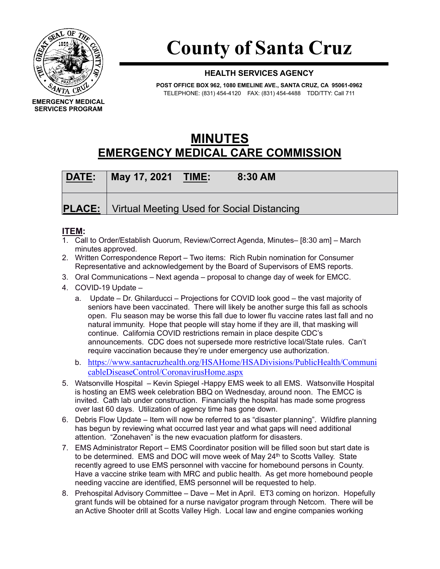

## **County of Santa Cruz**

## **HEALTH SERVICES AGENCY**

**POST OFFICE BOX 962, 1080 EMELINE AVE., SANTA CRUZ, CA 95061-0962** TELEPHONE: (831) 454-4120 FAX: (831) 454-4488 TDD/TTY: Call 711

## **MINUTES EMERGENCY MEDICAL CARE COMMISSION**

| DATE: | May 17, 2021 TIME: | 8:30 AM                                                    |  |
|-------|--------------------|------------------------------------------------------------|--|
|       |                    | <b>PLACE:</b>   Virtual Meeting Used for Social Distancing |  |

## **ITEM:**

- 1. Call to Order/Establish Quorum, Review/Correct Agenda, Minutes– [8:30 am] March minutes approved.
- 2. Written Correspondence Report Two items: Rich Rubin nomination for Consumer Representative and acknowledgement by the Board of Supervisors of EMS reports.
- 3. Oral Communications Next agenda proposal to change day of week for EMCC.
- 4. COVID-19 Update
	- a. Update Dr. Ghilarducci Projections for COVID look good the vast majority of seniors have been vaccinated. There will likely be another surge this fall as schools open. Flu season may be worse this fall due to lower flu vaccine rates last fall and no natural immunity. Hope that people will stay home if they are ill, that masking will continue. California COVID restrictions remain in place despite CDC's announcements. CDC does not supersede more restrictive local/State rules. Can't require vaccination because they're under emergency use authorization.
	- b. [https://www.santacruzhealth.org/HSAHome/HSADivisions/PublicHealth/Communi](https://www.santacruzhealth.org/HSAHome/HSADivisions/PublicHealth/CommunicableDiseaseControl/CoronavirusHome.aspx) [cableDiseaseControl/CoronavirusHome.aspx](https://www.santacruzhealth.org/HSAHome/HSADivisions/PublicHealth/CommunicableDiseaseControl/CoronavirusHome.aspx)
- 5. Watsonville Hospital Kevin Spiegel -Happy EMS week to all EMS. Watsonville Hospital is hosting an EMS week celebration BBQ on Wednesday, around noon. The EMCC is invited. Cath lab under construction. Financially the hospital has made some progress over last 60 days. Utilization of agency time has gone down.
- 6. Debris Flow Update Item will now be referred to as "disaster planning". Wildfire planning has begun by reviewing what occurred last year and what gaps will need additional attention. "Zonehaven" is the new evacuation platform for disasters.
- 7. EMS Administrator Report EMS Coordinator position will be filled soon but start date is to be determined. EMS and DOC will move week of May 24<sup>th</sup> to Scotts Valley. State recently agreed to use EMS personnel with vaccine for homebound persons in County. Have a vaccine strike team with MRC and public health. As get more homebound people needing vaccine are identified, EMS personnel will be requested to help.
- 8. Prehospital Advisory Committee Dave Met in April. ET3 coming on horizon. Hopefully grant funds will be obtained for a nurse navigator program through Netcom. There will be an Active Shooter drill at Scotts Valley High. Local law and engine companies working

**EMERGENCY MEDICAL SERVICES PROGRAM**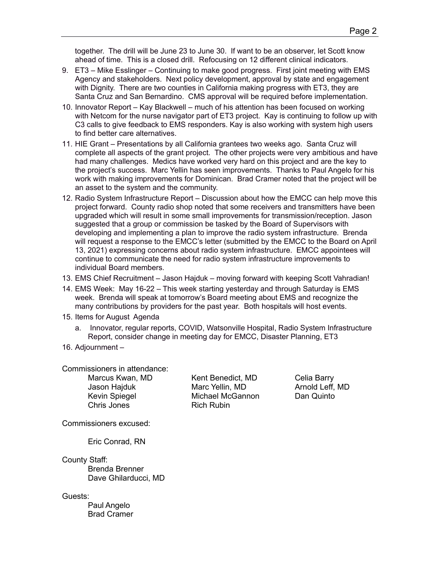together. The drill will be June 23 to June 30. If want to be an observer, let Scott know ahead of time. This is a closed drill. Refocusing on 12 different clinical indicators.

- 9. ET3 Mike Esslinger Continuing to make good progress. First joint meeting with EMS Agency and stakeholders. Next policy development, approval by state and engagement with Dignity. There are two counties in California making progress with ET3, they are Santa Cruz and San Bernardino. CMS approval will be required before implementation.
- 10. Innovator Report Kay Blackwell much of his attention has been focused on working with Netcom for the nurse navigator part of ET3 project. Kay is continuing to follow up with C3 calls to give feedback to EMS responders. Kay is also working with system high users to find better care alternatives.
- 11. HIE Grant Presentations by all California grantees two weeks ago. Santa Cruz will complete all aspects of the grant project. The other projects were very ambitious and have had many challenges. Medics have worked very hard on this project and are the key to the project's success. Marc Yellin has seen improvements. Thanks to Paul Angelo for his work with making improvements for Dominican. Brad Cramer noted that the project will be an asset to the system and the community.
- 12. Radio System Infrastructure Report Discussion about how the EMCC can help move this project forward. County radio shop noted that some receivers and transmitters have been upgraded which will result in some small improvements for transmission/reception. Jason suggested that a group or commission be tasked by the Board of Supervisors with developing and implementing a plan to improve the radio system infrastructure. Brenda will request a response to the EMCC's letter (submitted by the EMCC to the Board on April 13, 2021) expressing concerns about radio system infrastructure. EMCC appointees will continue to communicate the need for radio system infrastructure improvements to individual Board members.
- 13. EMS Chief Recruitment Jason Hajduk moving forward with keeping Scott Vahradian!
- 14. EMS Week: May 16-22 This week starting yesterday and through Saturday is EMS week. Brenda will speak at tomorrow's Board meeting about EMS and recognize the many contributions by providers for the past year. Both hospitals will host events.
- 15. Items for August Agenda
	- a. Innovator, regular reports, COVID, Watsonville Hospital, Radio System Infrastructure Report, consider change in meeting day for EMCC, Disaster Planning, ET3
- 16. Adjournment –

Commissioners in attendance:

Chris Jones **Rich Rubin** 

Marcus Kwan, MD Kent Benedict, MD Celia Barry Jason Hajduk Marc Yellin, MD Arnold Leff, MD<br>Kevin Spiegel Michael McGannon Dan Quinto Michael McGannon

Commissioners excused:

Eric Conrad, RN

County Staff:

Brenda Brenner Dave Ghilarducci, MD

Guests:

Paul Angelo Brad Cramer